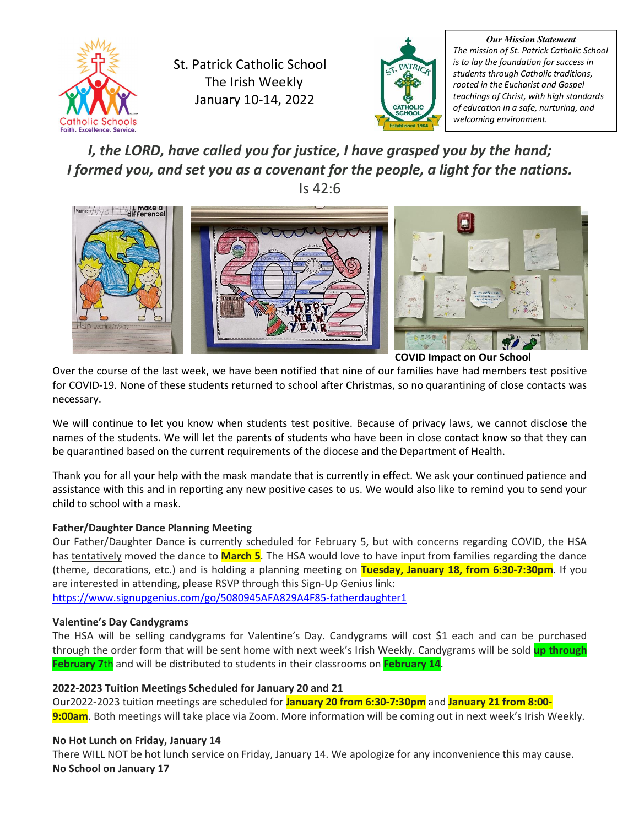

St. Patrick Catholic School The Irish Weekly January 10-14, 2022



*Our Mission Statement The mission of St. Patrick Catholic School is to lay the foundation for success in students through Catholic traditions, rooted in the Eucharist and Gospel teachings of Christ, with high standards of education in a safe, nurturing, and welcoming environment.*

*I, the LORD, have called you for justice, I have grasped you by the hand; I formed you, and set you as a covenant for the people, a light for the nations.* Is 42:6



**COVID Impact on Our School** 

Over the course of the last week, we have been notified that nine of our families have had members test positive for COVID-19. None of these students returned to school after Christmas, so no quarantining of close contacts was necessary.

We will continue to let you know when students test positive. Because of privacy laws, we cannot disclose the names of the students. We will let the parents of students who have been in close contact know so that they can be quarantined based on the current requirements of the diocese and the Department of Health.

Thank you for all your help with the mask mandate that is currently in effect. We ask your continued patience and assistance with this and in reporting any new positive cases to us. We would also like to remind you to send your child to school with a mask.

# **Father/Daughter Dance Planning Meeting**

Our Father/Daughter Dance is currently scheduled for February 5, but with concerns regarding COVID, the HSA has tentatively moved the dance to **March 5**. The HSA would love to have input from families regarding the dance (theme, decorations, etc.) and is holding a planning meeting on **Tuesday, January 18, from 6:30-7:30pm**. If you are interested in attending, please RSVP through this Sign-Up Genius link: <https://www.signupgenius.com/go/5080945AFA829A4F85-fatherdaughter1>

**Valentine's Day Candygrams**

The HSA will be selling candygrams for Valentine's Day. Candygrams will cost \$1 each and can be purchased through the order form that will be sent home with next week's Irish Weekly. Candygrams will be sold **up through February 7**th and will be distributed to students in their classrooms on **February 14**.

#### **2022-2023 Tuition Meetings Scheduled for January 20 and 21**

Our2022-2023 tuition meetings are scheduled for **January 20 from 6:30-7:30pm** and **January 21 from 8:00- 9:00am**. Both meetings will take place via Zoom. More information will be coming out in next week's Irish Weekly.

# **No Hot Lunch on Friday, January 14**

There WILL NOT be hot lunch service on Friday, January 14. We apologize for any inconvenience this may cause. **No School on January 17**